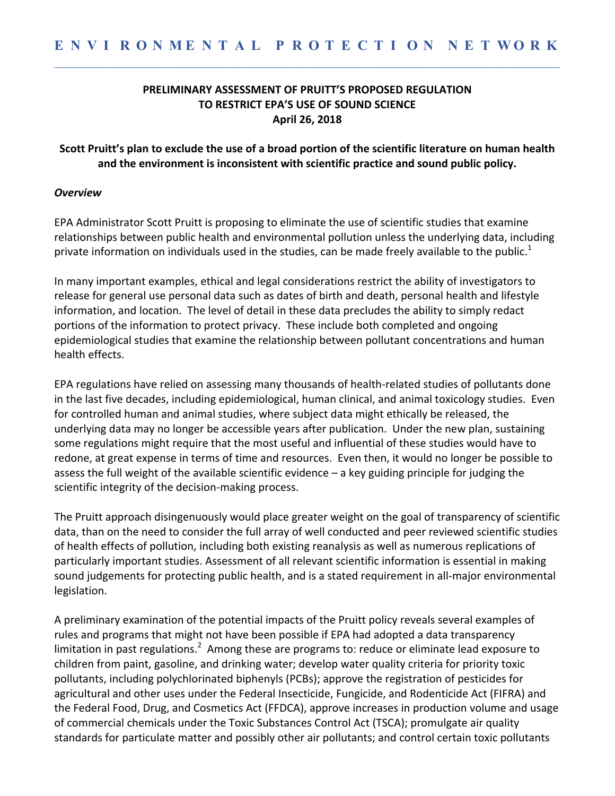### **PRELIMINARY ASSESSMENT OF PRUITT'S PROPOSED REGULATION TO RESTRICT EPA'S USE OF SOUND SCIENCE April 26, 2018**

#### Scott Pruitt's plan to exclude the use of a broad portion of the scientific literature on human health and the environment is inconsistent with scientific practice and sound public policy.

#### *Overview*

EPA Administrator Scott Pruitt is proposing to eliminate the use of scientific studies that examine relationships between public health and environmental pollution unless the underlying data, including private information on individuals used in the studies, can be made freely available to the public.<sup>1</sup>

In many important examples, ethical and legal considerations restrict the ability of investigators to release for general use personal data such as dates of birth and death, personal health and lifestyle information, and location. The level of detail in these data precludes the ability to simply redact portions of the information to protect privacy. These include both completed and ongoing epidemiological studies that examine the relationship between pollutant concentrations and human health effects.

EPA regulations have relied on assessing many thousands of health-related studies of pollutants done in the last five decades, including epidemiological, human clinical, and animal toxicology studies. Even for controlled human and animal studies, where subject data might ethically be released, the underlying data may no longer be accessible years after publication. Under the new plan, sustaining some regulations might require that the most useful and influential of these studies would have to redone, at great expense in terms of time and resources. Even then, it would no longer be possible to assess the full weight of the available scientific evidence  $-$  a key guiding principle for judging the scientific integrity of the decision-making process.

The Pruitt approach disingenuously would place greater weight on the goal of transparency of scientific data, than on the need to consider the full array of well conducted and peer reviewed scientific studies of health effects of pollution, including both existing reanalysis as well as numerous replications of particularly important studies. Assessment of all relevant scientific information is essential in making sound judgements for protecting public health, and is a stated requirement in all-major environmental legislation. 

A preliminary examination of the potential impacts of the Pruitt policy reveals several examples of rules and programs that might not have been possible if EPA had adopted a data transparency limitation in past regulations.<sup>2</sup> Among these are programs to: reduce or eliminate lead exposure to children from paint, gasoline, and drinking water; develop water quality criteria for priority toxic pollutants, including polychlorinated biphenyls (PCBs); approve the registration of pesticides for agricultural and other uses under the Federal Insecticide, Fungicide, and Rodenticide Act (FIFRA) and the Federal Food, Drug, and Cosmetics Act (FFDCA), approve increases in production volume and usage of commercial chemicals under the Toxic Substances Control Act (TSCA); promulgate air quality standards for particulate matter and possibly other air pollutants; and control certain toxic pollutants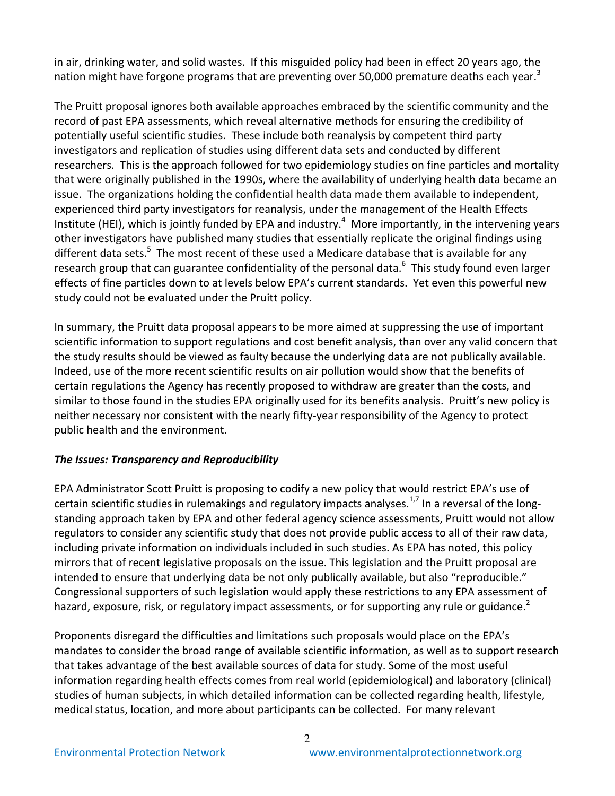in air, drinking water, and solid wastes. If this misguided policy had been in effect 20 years ago, the nation might have forgone programs that are preventing over 50,000 premature deaths each year.<sup>3</sup>

The Pruitt proposal ignores both available approaches embraced by the scientific community and the record of past EPA assessments, which reveal alternative methods for ensuring the credibility of potentially useful scientific studies. These include both reanalysis by competent third party investigators and replication of studies using different data sets and conducted by different researchers. This is the approach followed for two epidemiology studies on fine particles and mortality that were originally published in the 1990s, where the availability of underlying health data became an issue. The organizations holding the confidential health data made them available to independent, experienced third party investigators for reanalysis, under the management of the Health Effects Institute (HEI), which is jointly funded by EPA and industry.<sup>4</sup> More importantly, in the intervening years other investigators have published many studies that essentially replicate the original findings using different data sets.<sup>5</sup> The most recent of these used a Medicare database that is available for any research group that can guarantee confidentiality of the personal data.<sup>6</sup> This study found even larger effects of fine particles down to at levels below EPA's current standards. Yet even this powerful new study could not be evaluated under the Pruitt policy.

In summary, the Pruitt data proposal appears to be more aimed at suppressing the use of important scientific information to support regulations and cost benefit analysis, than over any valid concern that the study results should be viewed as faulty because the underlying data are not publically available. Indeed, use of the more recent scientific results on air pollution would show that the benefits of certain regulations the Agency has recently proposed to withdraw are greater than the costs, and similar to those found in the studies EPA originally used for its benefits analysis. Pruitt's new policy is neither necessary nor consistent with the nearly fifty-year responsibility of the Agency to protect public health and the environment.

### **The Issues: Transparency and Reproducibility**

EPA Administrator Scott Pruitt is proposing to codify a new policy that would restrict EPA's use of certain scientific studies in rulemakings and regulatory impacts analyses.<sup>1,7</sup> In a reversal of the longstanding approach taken by EPA and other federal agency science assessments, Pruitt would not allow regulators to consider any scientific study that does not provide public access to all of their raw data, including private information on individuals included in such studies. As EPA has noted, this policy mirrors that of recent legislative proposals on the issue. This legislation and the Pruitt proposal are intended to ensure that underlying data be not only publically available, but also "reproducible." Congressional supporters of such legislation would apply these restrictions to any EPA assessment of hazard, exposure, risk, or regulatory impact assessments, or for supporting any rule or guidance.<sup>2</sup>

Proponents disregard the difficulties and limitations such proposals would place on the EPA's mandates to consider the broad range of available scientific information, as well as to support research that takes advantage of the best available sources of data for study. Some of the most useful information regarding health effects comes from real world (epidemiological) and laboratory (clinical) studies of human subjects, in which detailed information can be collected regarding health, lifestyle, medical status, location, and more about participants can be collected. For many relevant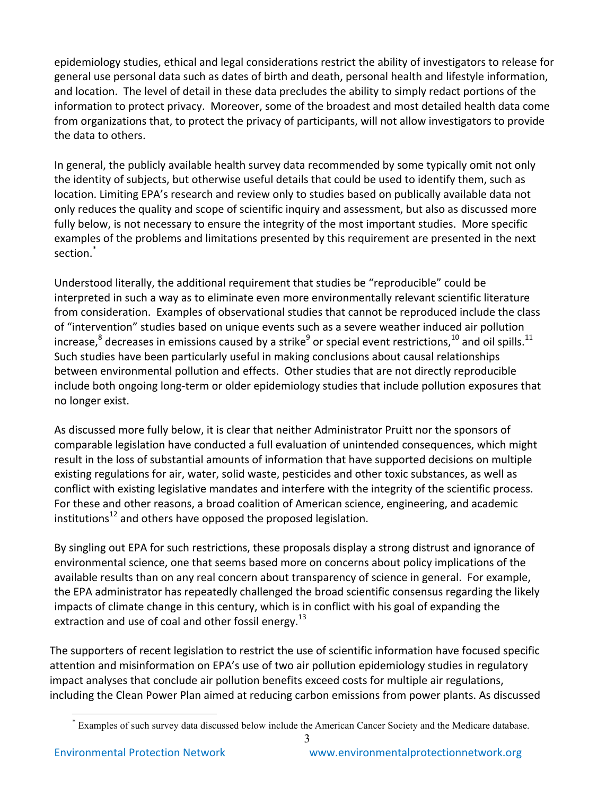epidemiology studies, ethical and legal considerations restrict the ability of investigators to release for general use personal data such as dates of birth and death, personal health and lifestyle information, and location. The level of detail in these data precludes the ability to simply redact portions of the information to protect privacy. Moreover, some of the broadest and most detailed health data come from organizations that, to protect the privacy of participants, will not allow investigators to provide the data to others.

In general, the publicly available health survey data recommended by some typically omit not only the identity of subjects, but otherwise useful details that could be used to identify them, such as location. Limiting EPA's research and review only to studies based on publically available data not only reduces the quality and scope of scientific inquiry and assessment, but also as discussed more fully below, is not necessary to ensure the integrity of the most important studies. More specific examples of the problems and limitations presented by this requirement are presented in the next section.<sup>\*</sup>

Understood literally, the additional requirement that studies be "reproducible" could be interpreted in such a way as to eliminate even more environmentally relevant scientific literature from consideration. Examples of observational studies that cannot be reproduced include the class of "intervention" studies based on unique events such as a severe weather induced air pollution increase,<sup>8</sup> decreases in emissions caused by a strike<sup>9</sup> or special event restrictions,<sup>10</sup> and oil spills.<sup>11</sup> Such studies have been particularly useful in making conclusions about causal relationships between environmental pollution and effects. Other studies that are not directly reproducible include both ongoing long-term or older epidemiology studies that include pollution exposures that no longer exist.

As discussed more fully below, it is clear that neither Administrator Pruitt nor the sponsors of comparable legislation have conducted a full evaluation of unintended consequences, which might result in the loss of substantial amounts of information that have supported decisions on multiple existing regulations for air, water, solid waste, pesticides and other toxic substances, as well as conflict with existing legislative mandates and interfere with the integrity of the scientific process. For these and other reasons, a broad coalition of American science, engineering, and academic institutions<sup>12</sup> and others have opposed the proposed legislation.

By singling out EPA for such restrictions, these proposals display a strong distrust and ignorance of environmental science, one that seems based more on concerns about policy implications of the available results than on any real concern about transparency of science in general. For example, the EPA administrator has repeatedly challenged the broad scientific consensus regarding the likely impacts of climate change in this century, which is in conflict with his goal of expanding the extraction and use of coal and other fossil energy.<sup>13</sup>

The supporters of recent legislation to restrict the use of scientific information have focused specific attention and misinformation on EPA's use of two air pollution epidemiology studies in regulatory impact analyses that conclude air pollution benefits exceed costs for multiple air regulations, including the Clean Power Plan aimed at reducing carbon emissions from power plants. As discussed

 <sup>\*</sup> Examples of such survey data discussed below include the American Cancer Society and the Medicare database.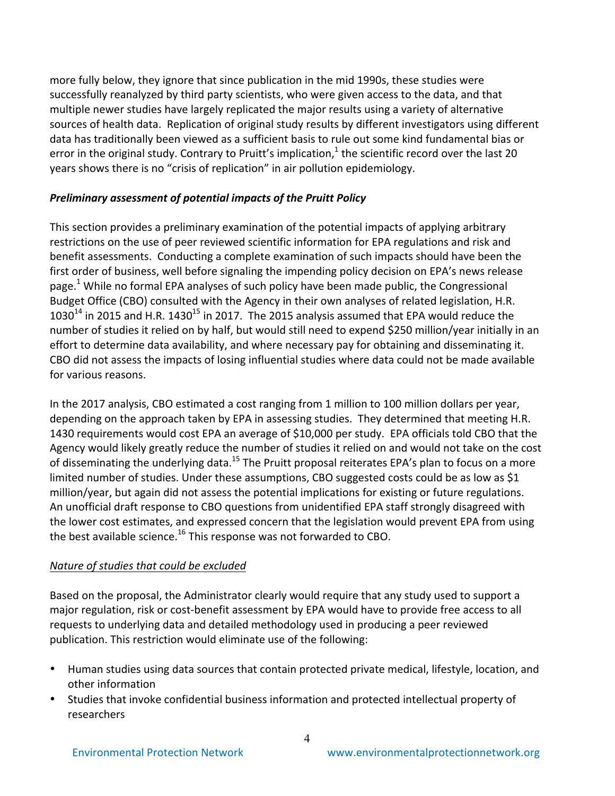more fully below, they ignore that since publication in the mid 1990s, these studies were successfully reanalyzed by third party scientists, who were given access to the data, and that multiple newer studies have largely replicated the major results using a variety of alternative sources of health data. Replication of original study results by different investigators using different data has traditionally been viewed as a sufficient basis to rule out some kind fundamental bias or error in the original study. Contrary to Pruitt's implication,<sup>1</sup> the scientific record over the last 20 years shows there is no "crisis of replication" in air pollution epidemiology.

#### **Preliminary assessment of potential impacts of the Pruitt Policy**

This section provides a preliminary examination of the potential impacts of applying arbitrary restrictions on the use of peer reviewed scientific information for EPA regulations and risk and benefit assessments. Conducting a complete examination of such impacts should have been the first order of business, well before signaling the impending policy decision on EPA's news release page.<sup>1</sup> While no formal EPA analyses of such policy have been made public, the Congressional Budget Office (CBO) consulted with the Agency in their own analyses of related legislation, H.R.  $1030^{14}$  in 2015 and H.R.  $1430^{15}$  in 2017. The 2015 analysis assumed that EPA would reduce the number of studies it relied on by half, but would still need to expend \$250 million/year initially in an effort to determine data availability, and where necessary pay for obtaining and disseminating it. CBO did not assess the impacts of losing influential studies where data could not be made available for various reasons.

In the 2017 analysis, CBO estimated a cost ranging from 1 million to 100 million dollars per year, depending on the approach taken by EPA in assessing studies. They determined that meeting H.R. 1430 requirements would cost EPA an average of \$10,000 per study. EPA officials told CBO that the Agency would likely greatly reduce the number of studies it relied on and would not take on the cost of disseminating the underlying data.<sup>15</sup> The Pruitt proposal reiterates EPA's plan to focus on a more limited number of studies. Under these assumptions, CBO suggested costs could be as low as \$1 million/year, but again did not assess the potential implications for existing or future regulations. An unofficial draft response to CBO questions from unidentified EPA staff strongly disagreed with the lower cost estimates, and expressed concern that the legislation would prevent EPA from using the best available science.<sup>16</sup> This response was not forwarded to CBO.

### *Nature* of studies that could be excluded

Based on the proposal, the Administrator clearly would require that any study used to support a major regulation, risk or cost-benefit assessment by EPA would have to provide free access to all requests to underlying data and detailed methodology used in producing a peer reviewed publication. This restriction would eliminate use of the following:

- Human studies using data sources that contain protected private medical, lifestyle, location, and other information
- Studies that invoke confidential business information and protected intellectual property of researchers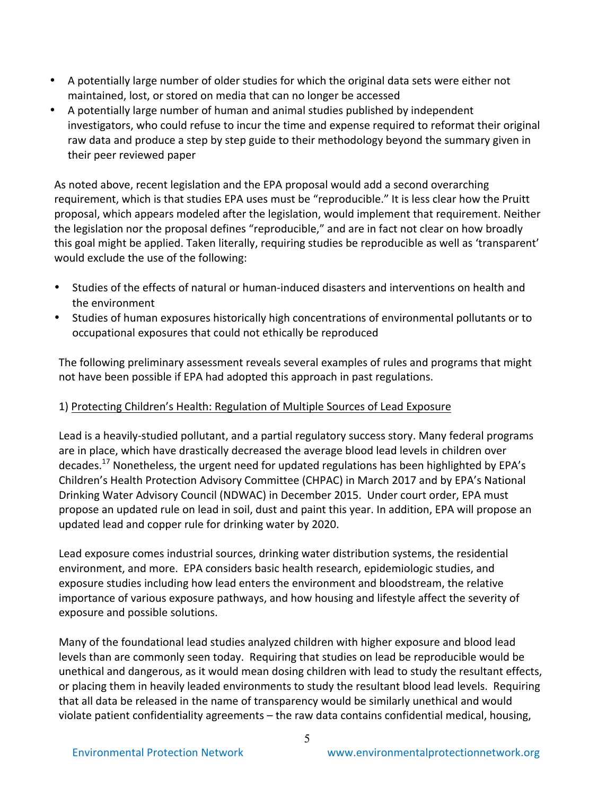- A potentially large number of older studies for which the original data sets were either not maintained, lost, or stored on media that can no longer be accessed
- A potentially large number of human and animal studies published by independent investigators, who could refuse to incur the time and expense required to reformat their original raw data and produce a step by step guide to their methodology beyond the summary given in their peer reviewed paper

As noted above, recent legislation and the EPA proposal would add a second overarching requirement, which is that studies EPA uses must be "reproducible." It is less clear how the Pruitt proposal, which appears modeled after the legislation, would implement that requirement. Neither the legislation nor the proposal defines "reproducible," and are in fact not clear on how broadly this goal might be applied. Taken literally, requiring studies be reproducible as well as 'transparent' would exclude the use of the following:

- Studies of the effects of natural or human-induced disasters and interventions on health and the environment
- Studies of human exposures historically high concentrations of environmental pollutants or to occupational exposures that could not ethically be reproduced

The following preliminary assessment reveals several examples of rules and programs that might not have been possible if EPA had adopted this approach in past regulations.

# 1) Protecting Children's Health: Regulation of Multiple Sources of Lead Exposure

Lead is a heavily-studied pollutant, and a partial regulatory success story. Many federal programs are in place, which have drastically decreased the average blood lead levels in children over decades.<sup>17</sup> Nonetheless, the urgent need for updated regulations has been highlighted by EPA's Children's Health Protection Advisory Committee (CHPAC) in March 2017 and by EPA's National Drinking Water Advisory Council (NDWAC) in December 2015. Under court order, EPA must propose an updated rule on lead in soil, dust and paint this year. In addition, EPA will propose an updated lead and copper rule for drinking water by 2020.

Lead exposure comes industrial sources, drinking water distribution systems, the residential environment, and more. EPA considers basic health research, epidemiologic studies, and exposure studies including how lead enters the environment and bloodstream, the relative importance of various exposure pathways, and how housing and lifestyle affect the severity of exposure and possible solutions.

Many of the foundational lead studies analyzed children with higher exposure and blood lead levels than are commonly seen today. Requiring that studies on lead be reproducible would be unethical and dangerous, as it would mean dosing children with lead to study the resultant effects, or placing them in heavily leaded environments to study the resultant blood lead levels. Requiring that all data be released in the name of transparency would be similarly unethical and would violate patient confidentiality agreements  $-$  the raw data contains confidential medical, housing,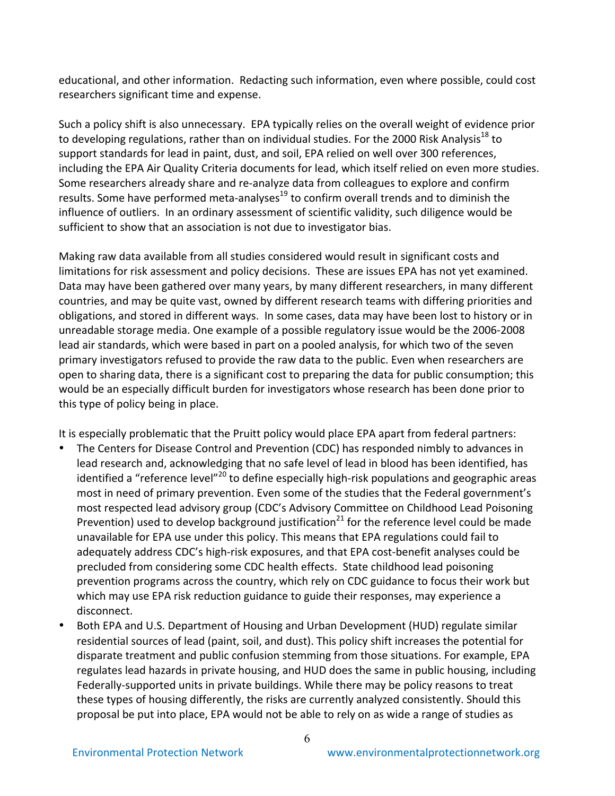educational, and other information. Redacting such information, even where possible, could cost researchers significant time and expense.

Such a policy shift is also unnecessary. EPA typically relies on the overall weight of evidence prior to developing regulations, rather than on individual studies. For the 2000 Risk Analysis<sup>18</sup> to support standards for lead in paint, dust, and soil, EPA relied on well over 300 references, including the EPA Air Quality Criteria documents for lead, which itself relied on even more studies. Some researchers already share and re-analyze data from colleagues to explore and confirm results. Some have performed meta-analyses<sup>19</sup> to confirm overall trends and to diminish the influence of outliers. In an ordinary assessment of scientific validity, such diligence would be sufficient to show that an association is not due to investigator bias.

Making raw data available from all studies considered would result in significant costs and limitations for risk assessment and policy decisions. These are issues EPA has not yet examined. Data may have been gathered over many years, by many different researchers, in many different countries, and may be quite vast, owned by different research teams with differing priorities and obligations, and stored in different ways. In some cases, data may have been lost to history or in unreadable storage media. One example of a possible regulatory issue would be the 2006-2008 lead air standards, which were based in part on a pooled analysis, for which two of the seven primary investigators refused to provide the raw data to the public. Even when researchers are open to sharing data, there is a significant cost to preparing the data for public consumption; this would be an especially difficult burden for investigators whose research has been done prior to this type of policy being in place.

It is especially problematic that the Pruitt policy would place EPA apart from federal partners:

- The Centers for Disease Control and Prevention (CDC) has responded nimbly to advances in lead research and, acknowledging that no safe level of lead in blood has been identified, has identified a "reference level"<sup>20</sup> to define especially high-risk populations and geographic areas most in need of primary prevention. Even some of the studies that the Federal government's most respected lead advisory group (CDC's Advisory Committee on Childhood Lead Poisoning Prevention) used to develop background justification<sup>21</sup> for the reference level could be made unavailable for EPA use under this policy. This means that EPA regulations could fail to adequately address CDC's high-risk exposures, and that EPA cost-benefit analyses could be precluded from considering some CDC health effects. State childhood lead poisoning prevention programs across the country, which rely on CDC guidance to focus their work but which may use EPA risk reduction guidance to guide their responses, may experience a disconnect.
- Both EPA and U.S. Department of Housing and Urban Development (HUD) regulate similar residential sources of lead (paint, soil, and dust). This policy shift increases the potential for disparate treatment and public confusion stemming from those situations. For example, EPA regulates lead hazards in private housing, and HUD does the same in public housing, including Federally-supported units in private buildings. While there may be policy reasons to treat these types of housing differently, the risks are currently analyzed consistently. Should this proposal be put into place, EPA would not be able to rely on as wide a range of studies as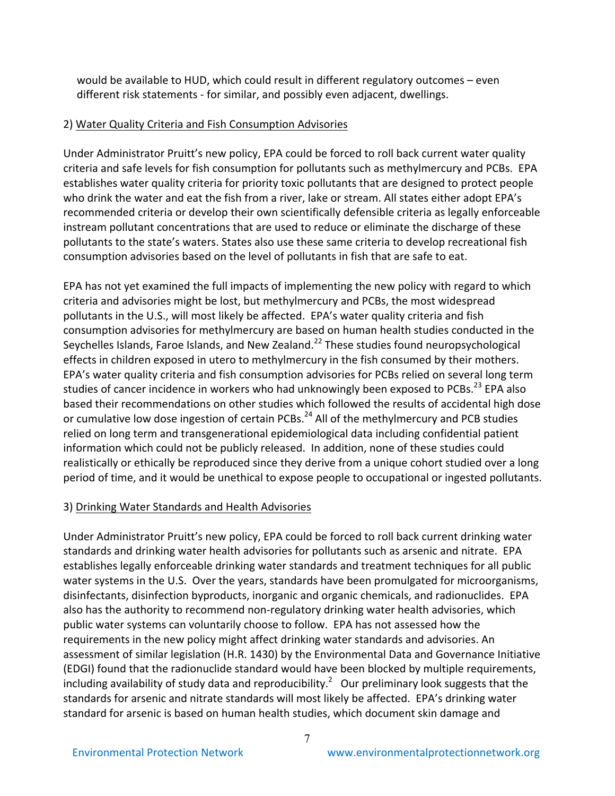would be available to HUD, which could result in different regulatory outcomes  $-$  even different risk statements - for similar, and possibly even adjacent, dwellings.

#### 2) Water Quality Criteria and Fish Consumption Advisories

Under Administrator Pruitt's new policy, EPA could be forced to roll back current water quality criteria and safe levels for fish consumption for pollutants such as methylmercury and PCBs. EPA establishes water quality criteria for priority toxic pollutants that are designed to protect people who drink the water and eat the fish from a river, lake or stream. All states either adopt EPA's recommended criteria or develop their own scientifically defensible criteria as legally enforceable instream pollutant concentrations that are used to reduce or eliminate the discharge of these pollutants to the state's waters. States also use these same criteria to develop recreational fish consumption advisories based on the level of pollutants in fish that are safe to eat.

EPA has not yet examined the full impacts of implementing the new policy with regard to which criteria and advisories might be lost, but methylmercury and PCBs, the most widespread pollutants in the U.S., will most likely be affected. EPA's water quality criteria and fish consumption advisories for methylmercury are based on human health studies conducted in the Seychelles Islands, Faroe Islands, and New Zealand.<sup>22</sup> These studies found neuropsychological effects in children exposed in utero to methylmercury in the fish consumed by their mothers. EPA's water quality criteria and fish consumption advisories for PCBs relied on several long term studies of cancer incidence in workers who had unknowingly been exposed to PCBs.<sup>23</sup> EPA also based their recommendations on other studies which followed the results of accidental high dose or cumulative low dose ingestion of certain PCBs.<sup>24</sup> All of the methylmercury and PCB studies relied on long term and transgenerational epidemiological data including confidential patient information which could not be publicly released. In addition, none of these studies could realistically or ethically be reproduced since they derive from a unique cohort studied over a long period of time, and it would be unethical to expose people to occupational or ingested pollutants.

### 3) Drinking Water Standards and Health Advisories

Under Administrator Pruitt's new policy, EPA could be forced to roll back current drinking water standards and drinking water health advisories for pollutants such as arsenic and nitrate. EPA establishes legally enforceable drinking water standards and treatment techniques for all public water systems in the U.S. Over the years, standards have been promulgated for microorganisms, disinfectants, disinfection byproducts, inorganic and organic chemicals, and radionuclides. EPA also has the authority to recommend non-regulatory drinking water health advisories, which public water systems can voluntarily choose to follow. EPA has not assessed how the requirements in the new policy might affect drinking water standards and advisories. An assessment of similar legislation (H.R. 1430) by the Environmental Data and Governance Initiative (EDGI) found that the radionuclide standard would have been blocked by multiple requirements, including availability of study data and reproducibility.<sup>2</sup> Our preliminary look suggests that the standards for arsenic and nitrate standards will most likely be affected. EPA's drinking water standard for arsenic is based on human health studies, which document skin damage and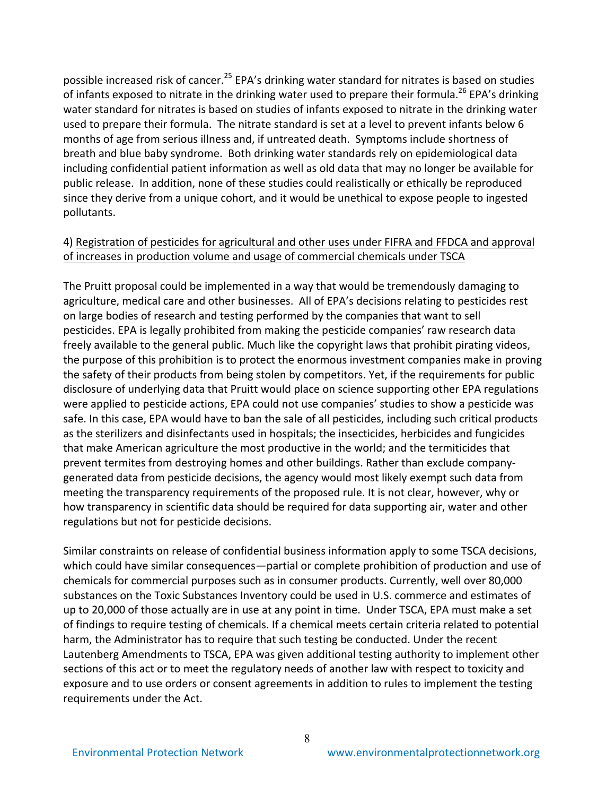possible increased risk of cancer.<sup>25</sup> EPA's drinking water standard for nitrates is based on studies of infants exposed to nitrate in the drinking water used to prepare their formula.<sup>26</sup> EPA's drinking water standard for nitrates is based on studies of infants exposed to nitrate in the drinking water used to prepare their formula. The nitrate standard is set at a level to prevent infants below 6 months of age from serious illness and, if untreated death. Symptoms include shortness of breath and blue baby syndrome. Both drinking water standards rely on epidemiological data including confidential patient information as well as old data that may no longer be available for public release. In addition, none of these studies could realistically or ethically be reproduced since they derive from a unique cohort, and it would be unethical to expose people to ingested pollutants. 

### 4) Registration of pesticides for agricultural and other uses under FIFRA and FFDCA and approval of increases in production volume and usage of commercial chemicals under TSCA

The Pruitt proposal could be implemented in a way that would be tremendously damaging to agriculture, medical care and other businesses. All of EPA's decisions relating to pesticides rest on large bodies of research and testing performed by the companies that want to sell pesticides. EPA is legally prohibited from making the pesticide companies' raw research data freely available to the general public. Much like the copyright laws that prohibit pirating videos, the purpose of this prohibition is to protect the enormous investment companies make in proving the safety of their products from being stolen by competitors. Yet, if the requirements for public disclosure of underlying data that Pruitt would place on science supporting other EPA regulations were applied to pesticide actions, EPA could not use companies' studies to show a pesticide was safe. In this case, EPA would have to ban the sale of all pesticides, including such critical products as the sterilizers and disinfectants used in hospitals; the insecticides, herbicides and fungicides that make American agriculture the most productive in the world; and the termiticides that prevent termites from destroying homes and other buildings. Rather than exclude companygenerated data from pesticide decisions, the agency would most likely exempt such data from meeting the transparency requirements of the proposed rule. It is not clear, however, why or how transparency in scientific data should be required for data supporting air, water and other regulations but not for pesticide decisions.

Similar constraints on release of confidential business information apply to some TSCA decisions, which could have similar consequences—partial or complete prohibition of production and use of chemicals for commercial purposes such as in consumer products. Currently, well over 80,000 substances on the Toxic Substances Inventory could be used in U.S. commerce and estimates of up to 20,000 of those actually are in use at any point in time. Under TSCA, EPA must make a set of findings to require testing of chemicals. If a chemical meets certain criteria related to potential harm, the Administrator has to require that such testing be conducted. Under the recent Lautenberg Amendments to TSCA, EPA was given additional testing authority to implement other sections of this act or to meet the regulatory needs of another law with respect to toxicity and exposure and to use orders or consent agreements in addition to rules to implement the testing requirements under the Act.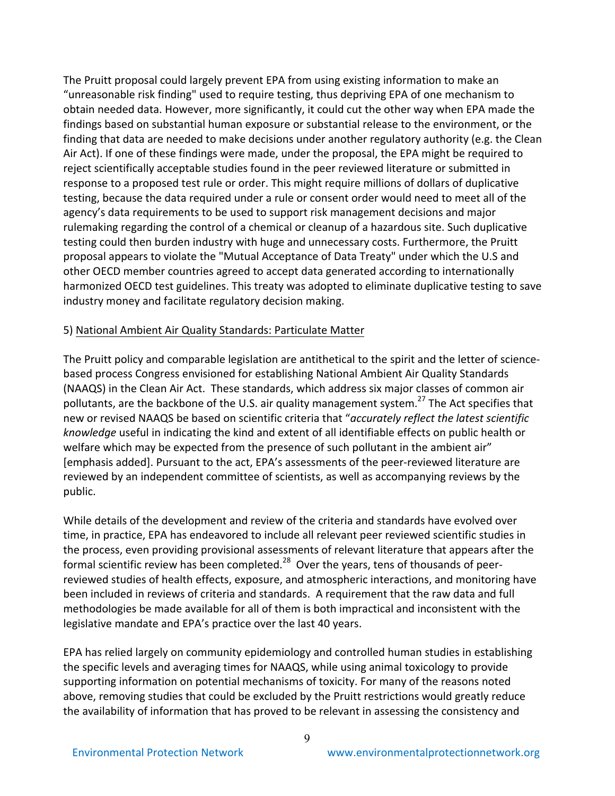The Pruitt proposal could largely prevent EPA from using existing information to make an "unreasonable risk finding" used to require testing, thus depriving EPA of one mechanism to obtain needed data. However, more significantly, it could cut the other way when EPA made the findings based on substantial human exposure or substantial release to the environment, or the finding that data are needed to make decisions under another regulatory authority (e.g. the Clean Air Act). If one of these findings were made, under the proposal, the EPA might be required to reject scientifically acceptable studies found in the peer reviewed literature or submitted in response to a proposed test rule or order. This might require millions of dollars of duplicative testing, because the data required under a rule or consent order would need to meet all of the agency's data requirements to be used to support risk management decisions and major rulemaking regarding the control of a chemical or cleanup of a hazardous site. Such duplicative testing could then burden industry with huge and unnecessary costs. Furthermore, the Pruitt proposal appears to violate the "Mutual Acceptance of Data Treaty" under which the U.S and other OECD member countries agreed to accept data generated according to internationally harmonized OECD test guidelines. This treaty was adopted to eliminate duplicative testing to save industry money and facilitate regulatory decision making.

#### 5) National Ambient Air Quality Standards: Particulate Matter

The Pruitt policy and comparable legislation are antithetical to the spirit and the letter of sciencebased process Congress envisioned for establishing National Ambient Air Quality Standards (NAAQS) in the Clean Air Act. These standards, which address six major classes of common air pollutants, are the backbone of the U.S. air quality management system.<sup>27</sup> The Act specifies that new or revised NAAQS be based on scientific criteria that "accurately reflect the latest scientific *knowledge* useful in indicating the kind and extent of all identifiable effects on public health or welfare which may be expected from the presence of such pollutant in the ambient air" [emphasis added]. Pursuant to the act, EPA's assessments of the peer-reviewed literature are reviewed by an independent committee of scientists, as well as accompanying reviews by the public. 

While details of the development and review of the criteria and standards have evolved over time, in practice, EPA has endeavored to include all relevant peer reviewed scientific studies in the process, even providing provisional assessments of relevant literature that appears after the formal scientific review has been completed.<sup>28</sup> Over the years, tens of thousands of peerreviewed studies of health effects, exposure, and atmospheric interactions, and monitoring have been included in reviews of criteria and standards. A requirement that the raw data and full methodologies be made available for all of them is both impractical and inconsistent with the legislative mandate and EPA's practice over the last 40 years.

EPA has relied largely on community epidemiology and controlled human studies in establishing the specific levels and averaging times for NAAQS, while using animal toxicology to provide supporting information on potential mechanisms of toxicity. For many of the reasons noted above, removing studies that could be excluded by the Pruitt restrictions would greatly reduce the availability of information that has proved to be relevant in assessing the consistency and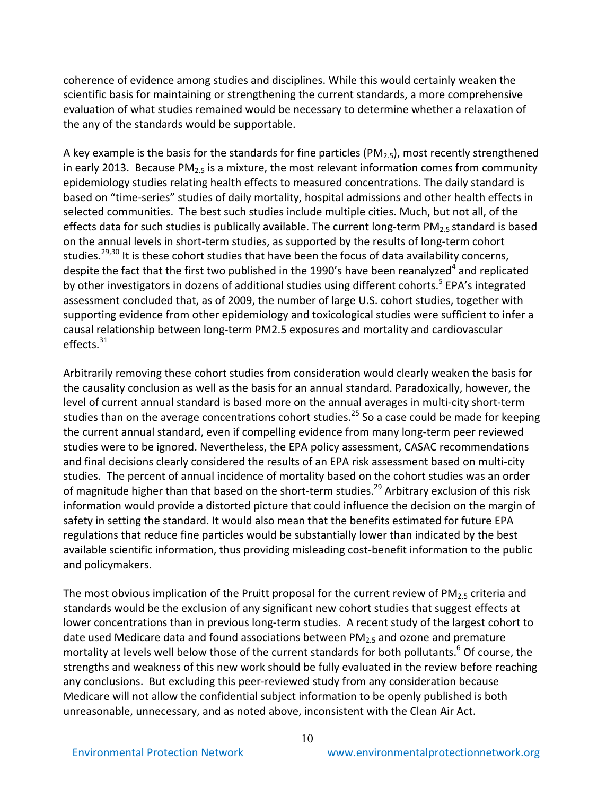coherence of evidence among studies and disciplines. While this would certainly weaken the scientific basis for maintaining or strengthening the current standards, a more comprehensive evaluation of what studies remained would be necessary to determine whether a relaxation of the any of the standards would be supportable.

A key example is the basis for the standards for fine particles (PM<sub>2.5</sub>), most recently strengthened in early 2013. Because  $PM_{2.5}$  is a mixture, the most relevant information comes from community epidemiology studies relating health effects to measured concentrations. The daily standard is based on "time-series" studies of daily mortality, hospital admissions and other health effects in selected communities. The best such studies include multiple cities. Much, but not all, of the effects data for such studies is publically available. The current long-term  $PM_{2.5}$  standard is based on the annual levels in short-term studies, as supported by the results of long-term cohort studies.<sup>29,30</sup> It is these cohort studies that have been the focus of data availability concerns, despite the fact that the first two published in the 1990's have been reanalyzed<sup>4</sup> and replicated by other investigators in dozens of additional studies using different cohorts.<sup>5</sup> EPA's integrated assessment concluded that, as of 2009, the number of large U.S. cohort studies, together with supporting evidence from other epidemiology and toxicological studies were sufficient to infer a causal relationship between long-term PM2.5 exposures and mortality and cardiovascular effects. $31$ 

Arbitrarily removing these cohort studies from consideration would clearly weaken the basis for the causality conclusion as well as the basis for an annual standard. Paradoxically, however, the level of current annual standard is based more on the annual averages in multi-city short-term studies than on the average concentrations cohort studies.<sup>25</sup> So a case could be made for keeping the current annual standard, even if compelling evidence from many long-term peer reviewed studies were to be ignored. Nevertheless, the EPA policy assessment, CASAC recommendations and final decisions clearly considered the results of an EPA risk assessment based on multi-city studies. The percent of annual incidence of mortality based on the cohort studies was an order of magnitude higher than that based on the short-term studies.<sup>29</sup> Arbitrary exclusion of this risk information would provide a distorted picture that could influence the decision on the margin of safety in setting the standard. It would also mean that the benefits estimated for future EPA regulations that reduce fine particles would be substantially lower than indicated by the best available scientific information, thus providing misleading cost-benefit information to the public and policymakers.

The most obvious implication of the Pruitt proposal for the current review of PM<sub>2.5</sub> criteria and standards would be the exclusion of any significant new cohort studies that suggest effects at lower concentrations than in previous long-term studies. A recent study of the largest cohort to date used Medicare data and found associations between  $PM_{2.5}$  and ozone and premature mortality at levels well below those of the current standards for both pollutants.<sup>6</sup> Of course, the strengths and weakness of this new work should be fully evaluated in the review before reaching any conclusions. But excluding this peer-reviewed study from any consideration because Medicare will not allow the confidential subject information to be openly published is both unreasonable, unnecessary, and as noted above, inconsistent with the Clean Air Act.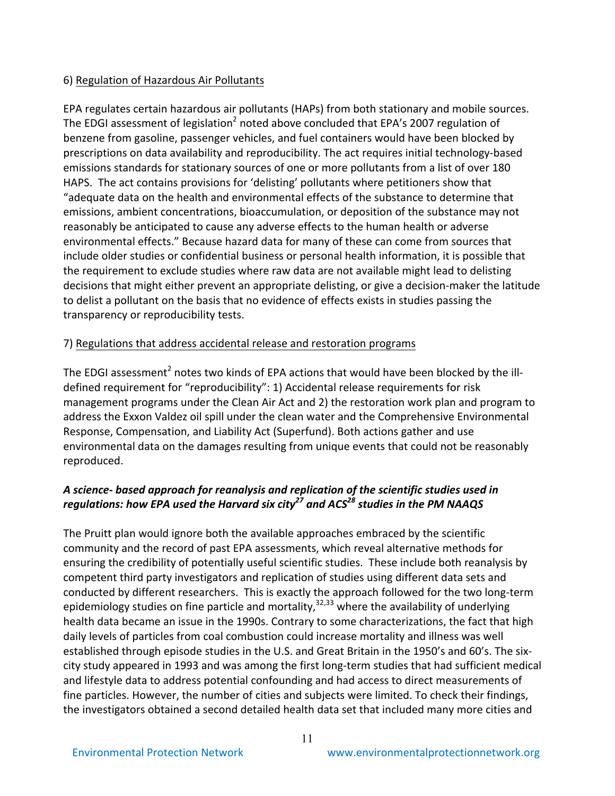## 6) Regulation of Hazardous Air Pollutants

EPA regulates certain hazardous air pollutants (HAPs) from both stationary and mobile sources. The EDGI assessment of legislation<sup>2</sup> noted above concluded that EPA's 2007 regulation of benzene from gasoline, passenger vehicles, and fuel containers would have been blocked by prescriptions on data availability and reproducibility. The act requires initial technology-based emissions standards for stationary sources of one or more pollutants from a list of over 180 HAPS. The act contains provisions for 'delisting' pollutants where petitioners show that "adequate data on the health and environmental effects of the substance to determine that emissions, ambient concentrations, bioaccumulation, or deposition of the substance may not reasonably be anticipated to cause any adverse effects to the human health or adverse environmental effects." Because hazard data for many of these can come from sources that include older studies or confidential business or personal health information, it is possible that the requirement to exclude studies where raw data are not available might lead to delisting decisions that might either prevent an appropriate delisting, or give a decision-maker the latitude to delist a pollutant on the basis that no evidence of effects exists in studies passing the transparency or reproducibility tests.

# 7) Regulations that address accidental release and restoration programs

The EDGI assessment<sup>2</sup> notes two kinds of EPA actions that would have been blocked by the illdefined requirement for "reproducibility": 1) Accidental release requirements for risk management programs under the Clean Air Act and 2) the restoration work plan and program to address the Exxon Valdez oil spill under the clean water and the Comprehensive Environmental Response, Compensation, and Liability Act (Superfund). Both actions gather and use environmental data on the damages resulting from unique events that could not be reasonably reproduced.

# A science- based approach for reanalysis and replication of the scientific studies used in *regulations:* how EPA used the Harvard six city<sup>27</sup> and ACS<sup>28</sup> studies in the PM NAAQS

The Pruitt plan would ignore both the available approaches embraced by the scientific community and the record of past EPA assessments, which reveal alternative methods for ensuring the credibility of potentially useful scientific studies. These include both reanalysis by competent third party investigators and replication of studies using different data sets and conducted by different researchers. This is exactly the approach followed for the two long-term epidemiology studies on fine particle and mortality,<sup>32,33</sup> where the availability of underlying health data became an issue in the 1990s. Contrary to some characterizations, the fact that high daily levels of particles from coal combustion could increase mortality and illness was well established through episode studies in the U.S. and Great Britain in the 1950's and 60's. The sixcity study appeared in 1993 and was among the first long-term studies that had sufficient medical and lifestyle data to address potential confounding and had access to direct measurements of fine particles. However, the number of cities and subjects were limited. To check their findings, the investigators obtained a second detailed health data set that included many more cities and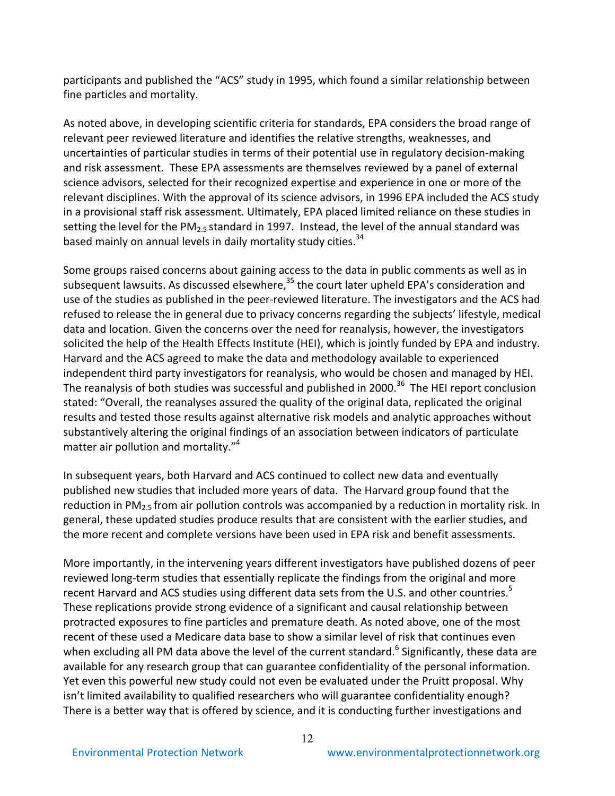participants and published the "ACS" study in 1995, which found a similar relationship between fine particles and mortality.

As noted above, in developing scientific criteria for standards, EPA considers the broad range of relevant peer reviewed literature and identifies the relative strengths, weaknesses, and uncertainties of particular studies in terms of their potential use in regulatory decision-making and risk assessment. These EPA assessments are themselves reviewed by a panel of external science advisors, selected for their recognized expertise and experience in one or more of the relevant disciplines. With the approval of its science advisors, in 1996 EPA included the ACS study in a provisional staff risk assessment. Ultimately, EPA placed limited reliance on these studies in setting the level for the PM<sub>2.5</sub> standard in 1997. Instead, the level of the annual standard was based mainly on annual levels in daily mortality study cities.<sup>34</sup>

Some groups raised concerns about gaining access to the data in public comments as well as in subsequent lawsuits. As discussed elsewhere, $35$  the court later upheld EPA's consideration and use of the studies as published in the peer-reviewed literature. The investigators and the ACS had refused to release the in general due to privacy concerns regarding the subjects' lifestyle, medical data and location. Given the concerns over the need for reanalysis, however, the investigators solicited the help of the Health Effects Institute (HEI), which is jointly funded by EPA and industry. Harvard and the ACS agreed to make the data and methodology available to experienced independent third party investigators for reanalysis, who would be chosen and managed by HEI. The reanalysis of both studies was successful and published in 2000.<sup>36</sup> The HEI report conclusion stated: "Overall, the reanalyses assured the quality of the original data, replicated the original results and tested those results against alternative risk models and analytic approaches without substantively altering the original findings of an association between indicators of particulate matter air pollution and mortality." $4$ 

In subsequent years, both Harvard and ACS continued to collect new data and eventually published new studies that included more years of data. The Harvard group found that the reduction in PM<sub>2.5</sub> from air pollution controls was accompanied by a reduction in mortality risk. In general, these updated studies produce results that are consistent with the earlier studies, and the more recent and complete versions have been used in EPA risk and benefit assessments.

More importantly, in the intervening years different investigators have published dozens of peer reviewed long-term studies that essentially replicate the findings from the original and more recent Harvard and ACS studies using different data sets from the U.S. and other countries.<sup>5</sup> These replications provide strong evidence of a significant and causal relationship between protracted exposures to fine particles and premature death. As noted above, one of the most recent of these used a Medicare data base to show a similar level of risk that continues even when excluding all PM data above the level of the current standard.<sup>6</sup> Significantly, these data are available for any research group that can guarantee confidentiality of the personal information. Yet even this powerful new study could not even be evaluated under the Pruitt proposal. Why isn't limited availability to qualified researchers who will guarantee confidentiality enough? There is a better way that is offered by science, and it is conducting further investigations and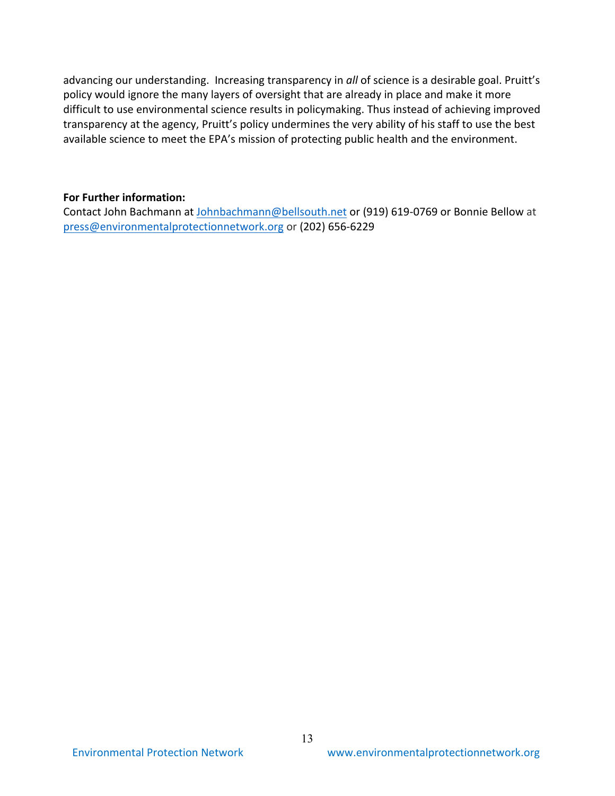advancing our understanding. Increasing transparency in all of science is a desirable goal. Pruitt's policy would ignore the many layers of oversight that are already in place and make it more difficult to use environmental science results in policymaking. Thus instead of achieving improved transparency at the agency, Pruitt's policy undermines the very ability of his staff to use the best available science to meet the EPA's mission of protecting public health and the environment.

#### **For Further information:**

Contact John Bachmann at Johnbachmann@bellsouth.net or (919) 619-0769 or Bonnie Bellow at press@environmentalprotectionnetwork.org or (202) 656-6229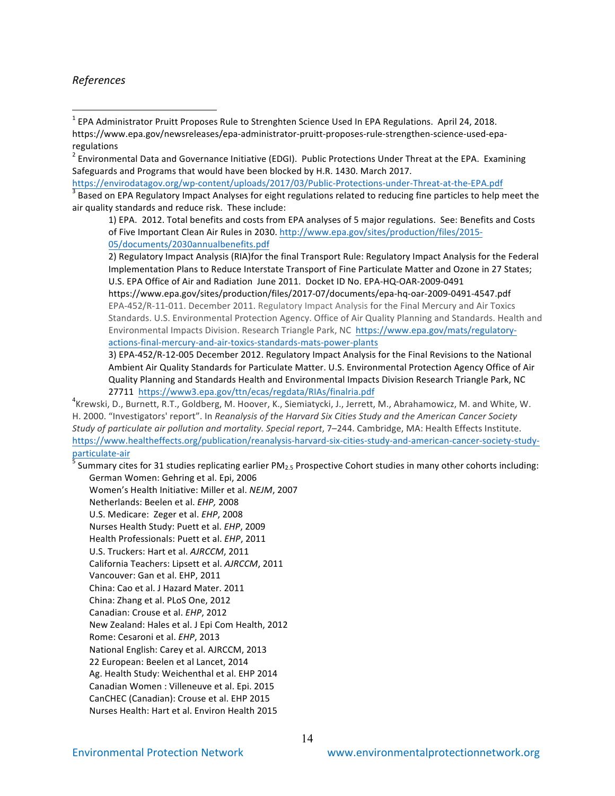#### *References*

- $2$  Environmental Data and Governance Initiative (EDGI). Public Protections Under Threat at the EPA. Examining Safeguards and Programs that would have been blocked by H.R. 1430. March 2017.
- https://envirodatagov.org/wp-content/uploads/2017/03/Public-Protections-under-Threat-at-the-EPA.pdf<br><sup>3</sup> Based on EPA Regulatory Impact Analyses for eight regulations related to reducing fine particles to help meet the air quality standards and reduce risk. These include:

1) EPA. 2012. Total benefits and costs from EPA analyses of 5 major regulations. See: Benefits and Costs of Five Important Clean Air Rules in 2030. http://www.epa.gov/sites/production/files/2015-05/documents/2030annualbenefits.pdf

2) Regulatory Impact Analysis (RIA)for the final Transport Rule: Regulatory Impact Analysis for the Federal Implementation Plans to Reduce Interstate Transport of Fine Particulate Matter and Ozone in 27 States; U.S. EPA Office of Air and Radiation June 2011. Docket ID No. EPA-HQ-OAR-2009-0491

https://www.epa.gov/sites/production/files/2017-07/documents/epa-hq-oar-2009-0491-4547.pdf EPA-452/R-11-011. December 2011. Regulatory Impact Analysis for the Final Mercury and Air Toxics Standards. U.S. Environmental Protection Agency. Office of Air Quality Planning and Standards. Health and Environmental Impacts Division. Research Triangle Park, NC https://www.epa.gov/mats/regulatoryactions-final-mercury-and-air-toxics-standards-mats-power-plants

3) EPA-452/R-12-005 December 2012. Regulatory Impact Analysis for the Final Revisions to the National Ambient Air Quality Standards for Particulate Matter. U.S. Environmental Protection Agency Office of Air Quality Planning and Standards Health and Environmental Impacts Division Research Triangle Park, NC 27711 https://www3.epa.gov/ttn/ecas/regdata/RIAs/finalria.pdf

 $4$ Krewski, D., Burnett, R.T., Goldberg, M. Hoover, K., Siemiatycki, J., Jerrett, M., Abrahamowicz, M. and White, W. H. 2000. "Investigators' report". In *Reanalysis of the Harvard Six Cities Study and the American Cancer Society Study of particulate air pollution and mortality. Special report, 7-244. Cambridge, MA: Health Effects Institute.* https://www.healtheffects.org/publication/reanalysis-harvard-six-cities-study-and-american-cancer-society-study-

<sup>5</sup> Summary cites for 31 studies replicating earlier PM<sub>2.5</sub> Prospective Cohort studies in many other cohorts including: German Women: Gehring et al. Epi, 2006

Women's Health Initiative: Miller et al. *NEJM*, 2007 Netherlands: Beelen et al. *EHP,* 2008 U.S. Medicare: Zeger et al. *EHP*, 2008 Nurses Health Study: Puett et al. *EHP*, 2009 Health Professionals: Puett et al. *EHP*, 2011 U.S. Truckers: Hart et al. AJRCCM, 2011 California Teachers: Lipsett et al. AJRCCM, 2011 Vancouver: Gan et al. EHP, 2011 China: Cao et al. J Hazard Mater. 2011 China: Zhang et al. PLoS One, 2012 Canadian: Crouse et al. *EHP*, 2012 New Zealand: Hales et al. J Epi Com Health, 2012 Rome: Cesaroni et al. *EHP*, 2013 National English: Carey et al. AJRCCM, 2013 22 European: Beelen et al Lancet, 2014 Ag. Health Study: Weichenthal et al. EHP 2014 Canadian Women : Villeneuve et al. Epi. 2015 CanCHEC (Canadian): Crouse et al. EHP 2015 Nurses Health: Hart et al. Environ Health 2015

 $1$  EPA Administrator Pruitt Proposes Rule to Strenghten Science Used In EPA Regulations. April 24, 2018. https://www.epa.gov/newsreleases/epa-administrator-pruitt-proposes-rule-strengthen-science-used-eparegulations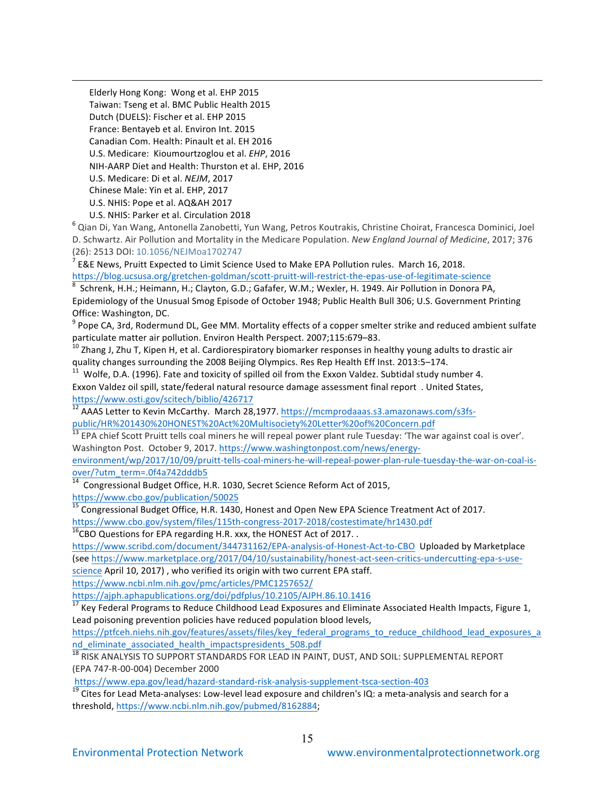Elderly Hong Kong: Wong et al. EHP 2015 Taiwan: Tseng et al. BMC Public Health 2015 Dutch (DUELS): Fischer et al. EHP 2015 France: Bentayeb et al. Environ Int. 2015 Canadian Com. Health: Pinault et al. EH 2016 U.S. Medicare: Kioumourtzoglou et al. *EHP*, 2016 NIH-AARP Diet and Health: Thurston et al. EHP, 2016 U.S. Medicare: Di et al. *NEJM*, 2017 Chinese Male: Yin et al. EHP, 2017 U.S. NHIS: Pope et al. AQ&AH 2017

 $\overline{a}$ 

U.S. NHIS: Parker et al. Circulation 2018<br><sup>6</sup> Qian Di, Yan Wang, Antonella Zanobetti, Yun Wang, Petros Koutrakis, Christine Choirat, Francesca Dominici, Joel D. Schwartz. Air Pollution and Mortality in the Medicare Population. *New England Journal of Medicine*, 2017; 376 (26): 2513 DOI: 10.1056/NEJMoa1702747<br><sup>7</sup> E&E News, Pruitt Expected to Limit Science Used to Make EPA Pollution rules. March 16, 2018.

https://blog.ucsusa.org/gretchen-goldman/scott-pruitt-will-restrict-the-epas-use-of-legitimate-science 8 Schrenk, H.H.; Heimann, H.; Clayton, G.D.; Gafafer, W.M.; Wexler, H. 1949. Air Pollution in Donora PA,

Epidemiology of the Unusual Smog Episode of October 1948; Public Health Bull 306; U.S. Government Printing Office: Washington, DC.

 $9$  Pope CA, 3rd, Rodermund DL, Gee MM. Mortality effects of a copper smelter strike and reduced ambient sulfate particulate matter air pollution. Environ Health Perspect. 2007;115:679–83.

<sup>10</sup> Zhang J, Zhu T, Kipen H, et al. Cardiorespiratory biomarker responses in healthy young adults to drastic air<br>quality changes surrounding the 2008 Beijing Olympics. Res Rep Health Eff Inst. 2013:5–174.

Wolfe, D.A. (1996). Fate and toxicity of spilled oil from the Exxon Valdez. Subtidal study number 4. Exxon Valdez oil spill, state/federal natural resource damage assessment final report . United States, https://www.osti.gov/scitech/biblio/426717

<sup>12</sup> AAAS Letter to Kevin McCarthy. March 28,1977. https://mcmprodaaas.s3.amazonaws.com/s3fspublic/HR%201430%20HONEST%20Act%20Multisociety%20Letter%20of%20Concern.pdf

 $^{13}$  EPA chief Scott Pruitt tells coal miners he will repeal power plant rule Tuesday: 'The war against coal is over'. Washington Post. October 9, 2017. https://www.washingtonpost.com/news/energy-

environment/wp/2017/10/09/pruitt-tells-coal-miners-he-will-repeal-power-plan-rule-tuesday-the-war-on-coal-isover/?utm\_term=.0f4a742dddb5

<u>00er, Edin Cenn. Island Eugene and</u><br><sup>14</sup> Congressional Budget Office, H.R. 1030, Secret Science Reform Act of 2015,

https://www.cbo.gov/publication/50025<br><sup>15</sup> Congressional Budget Office, H.R. 1430, Honest and Open New EPA Science Treatment Act of 2017.

https://www.cbo.gov/system/files/115th-congress-2017-2018/costestimate/hr1430.pdf<br><sup>16</sup>CBO Questions for EPA regarding H.R. xxx, the HONEST Act of 2017. .

https://www.scribd.com/document/344731162/EPA-analysis-of-Honest-Act-to-CBO Uploaded by Marketplace (see https://www.marketplace.org/2017/04/10/sustainability/honest-act-seen-critics-undercutting-epa-s-usescience April 10, 2017), who verified its origin with two current EPA staff.

https://www.ncbi.nlm.nih.gov/pmc/articles/PMC1257652/

https://ajph.aphapublications.org/doi/pdfplus/10.2105/AJPH.86.10.1416

 $17$  Key Federal Programs to Reduce Childhood Lead Exposures and Eliminate Associated Health Impacts, Figure 1, Lead poisoning prevention policies have reduced population blood levels,

https://ptfceh.niehs.nih.gov/features/assets/files/key\_federal\_programs\_to\_reduce\_childhood\_lead\_exposures\_a nd eliminate associated health impactspresidents 508.pdf

<sup>18</sup> RISK ANALYSIS TO SUPPORT STANDARDS FOR LEAD IN PAINT, DUST, AND SOIL: SUPPLEMENTAL REPORT (EPA 747-R-00-004) December 2000

https://www.epa.gov/lead/hazard-standard-risk-analysis-supplement-tsca-section-403<br><sup>19</sup> Cites for Lead Meta-analyses: Low-level lead exposure and children's IQ: a meta-analysis and search for a threshold, https://www.ncbi.nlm.nih.gov/pubmed/8162884;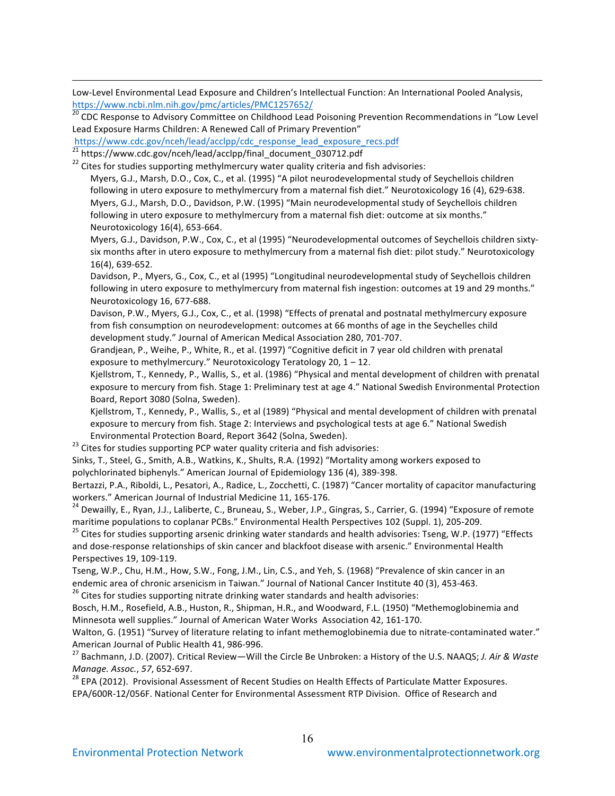Low-Level Environmental Lead Exposure and Children's Intellectual Function: An International Pooled Analysis, https://www.ncbi.nlm.nih.gov/pmc/articles/PMC1257652/

<sup>20</sup> CDC Response to Advisory Committee on Childhood Lead Poisoning Prevention Recommendations in "Low Level Lead Exposure Harms Children: A Renewed Call of Primary Prevention"

https://www.cdc.gov/nceh/lead/acclpp/cdc\_response\_lead\_exposure\_recs.pdf<br>
<sup>21</sup> https://www.cdc.gov/nceh/lead/acclpp/final\_document\_030712.pdf

 $\overline{a}$ 

 $22$  Cites for studies supporting methylmercury water quality criteria and fish advisories:

Myers, G.J., Marsh, D.O., Cox, C., et al. (1995) "A pilot neurodevelopmental study of Seychellois children following in utero exposure to methylmercury from a maternal fish diet." Neurotoxicology 16 (4), 629-638. Myers, G.J., Marsh, D.O., Davidson, P.W. (1995) "Main neurodevelopmental study of Seychellois children following in utero exposure to methylmercury from a maternal fish diet: outcome at six months." Neurotoxicology 16(4), 653-664.

Myers, G.J., Davidson, P.W., Cox, C., et al (1995) "Neurodevelopmental outcomes of Seychellois children sixtysix months after in utero exposure to methylmercury from a maternal fish diet: pilot study." Neurotoxicology 16(4), 639-652.

Davidson, P., Myers, G., Cox, C., et al (1995) "Longitudinal neurodevelopmental study of Seychellois children following in utero exposure to methylmercury from maternal fish ingestion: outcomes at 19 and 29 months." Neurotoxicology 16, 677-688.

Davison, P.W., Myers, G.J., Cox, C., et al. (1998) "Effects of prenatal and postnatal methylmercury exposure from fish consumption on neurodevelopment: outcomes at 66 months of age in the Seychelles child development study." Journal of American Medical Association 280, 701-707.

Grandiean, P., Weihe, P., White, R., et al. (1997) "Cognitive deficit in 7 year old children with prenatal exposure to methylmercury." Neurotoxicology Teratology 20,  $1 - 12$ .

Kjellstrom, T., Kennedy, P., Wallis, S., et al. (1986) "Physical and mental development of children with prenatal exposure to mercury from fish. Stage 1: Preliminary test at age 4." National Swedish Environmental Protection Board, Report 3080 (Solna, Sweden).

Kiellstrom, T., Kennedy, P., Wallis, S., et al (1989) "Physical and mental development of children with prenatal exposure to mercury from fish. Stage 2: Interviews and psychological tests at age 6." National Swedish

Environmental Protection Board, Report 3642 (Solna, Sweden).<br><sup>23</sup> Cites for studies supporting PCP water quality criteria and fish advisories:

Sinks, T., Steel, G., Smith, A.B., Watkins, K., Shults, R.A. (1992) "Mortality among workers exposed to polychlorinated biphenyls." American Journal of Epidemiology 136 (4), 389-398.

Bertazzi, P.A., Riboldi, L., Pesatori, A., Radice, L., Zocchetti, C. (1987) "Cancer mortality of capacitor manufacturing

workers." American Journal of Industrial Medicine 11, 165-176.<br><sup>24</sup> Dewailly, E., Ryan, J.J., Laliberte, C., Bruneau, S., Weber, J.P., Gingras, S., Carrier, G. (1994) "Exposure of remote<br>maritime populations to coplanar PC

<sup>25</sup> Cites for studies supporting arsenic drinking water standards and health advisories: Tseng, W.P. (1977) "Effects and dose-response relationships of skin cancer and blackfoot disease with arsenic." Environmental Health Perspectives 19, 109-119.

Tseng, W.P., Chu, H.M., How, S.W., Fong, J.M., Lin, C.S., and Yeh, S. (1968) "Prevalence of skin cancer in an endemic area of chronic arsenicism in Taiwan." Journal of National Cancer Institute 40 (3), 453-463. <sup>26</sup> Cites for studies supporting nitrate drinking water standards and health advisories:

Bosch, H.M., Rosefield, A.B., Huston, R., Shipman, H.R., and Woodward, F.L. (1950) "Methemoglobinemia and Minnesota well supplies." Journal of American Water Works Association 42, 161-170.

Walton, G. (1951) "Survey of literature relating to infant methemoglobinemia due to nitrate-contaminated water." American Journal of Public Health 41, 986-996.<br><sup>27</sup> Bachmann, J.D. (2007). Critical Review—Will the Circle Be Unbroken: a History of the U.S. NAAQS; *J. Air & Waste* 

*Manage. Assoc.,* 57, 652-697.<br><sup>28</sup> EPA (2012). Provisional Assessment of Recent Studies on Health Effects of Particulate Matter Exposures.

EPA/600R-12/056F. National Center for Environmental Assessment RTP Division. Office of Research and